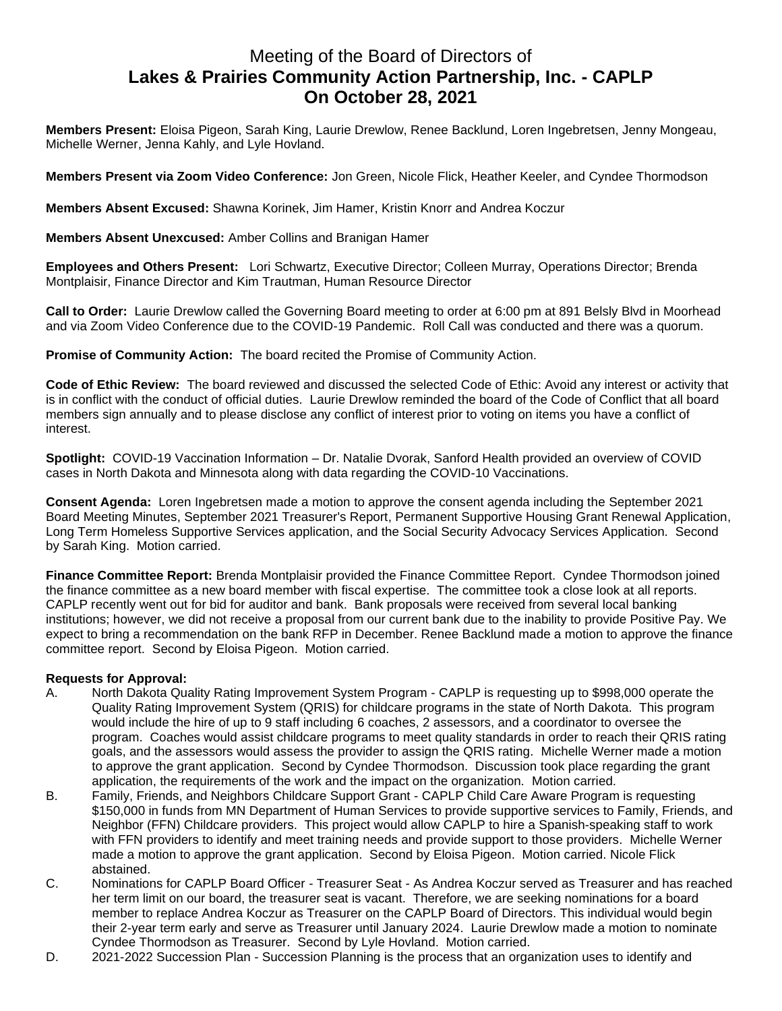## Meeting of the Board of Directors of **Lakes & Prairies Community Action Partnership, Inc. - CAPLP On October 28, 2021**

**Members Present:** Eloisa Pigeon, Sarah King, Laurie Drewlow, Renee Backlund, Loren Ingebretsen, Jenny Mongeau, Michelle Werner, Jenna Kahly, and Lyle Hovland.

**Members Present via Zoom Video Conference:** Jon Green, Nicole Flick, Heather Keeler, and Cyndee Thormodson

**Members Absent Excused:** Shawna Korinek, Jim Hamer, Kristin Knorr and Andrea Koczur

**Members Absent Unexcused:** Amber Collins and Branigan Hamer

**Employees and Others Present:** Lori Schwartz, Executive Director; Colleen Murray, Operations Director; Brenda Montplaisir, Finance Director and Kim Trautman, Human Resource Director

**Call to Order:** Laurie Drewlow called the Governing Board meeting to order at 6:00 pm at 891 Belsly Blvd in Moorhead and via Zoom Video Conference due to the COVID-19 Pandemic. Roll Call was conducted and there was a quorum.

**Promise of Community Action:** The board recited the Promise of Community Action.

**Code of Ethic Review:** The board reviewed and discussed the selected Code of Ethic: Avoid any interest or activity that is in conflict with the conduct of official duties. Laurie Drewlow reminded the board of the Code of Conflict that all board members sign annually and to please disclose any conflict of interest prior to voting on items you have a conflict of interest.

**Spotlight:** COVID-19 Vaccination Information – Dr. Natalie Dvorak, Sanford Health provided an overview of COVID cases in North Dakota and Minnesota along with data regarding the COVID-10 Vaccinations.

**Consent Agenda:** Loren Ingebretsen made a motion to approve the consent agenda including the September 2021 Board Meeting Minutes, September 2021 Treasurer's Report, Permanent Supportive Housing Grant Renewal Application, Long Term Homeless Supportive Services application, and the Social Security Advocacy Services Application. Second by Sarah King. Motion carried.

**Finance Committee Report:** Brenda Montplaisir provided the Finance Committee Report. Cyndee Thormodson joined the finance committee as a new board member with fiscal expertise. The committee took a close look at all reports. CAPLP recently went out for bid for auditor and bank. Bank proposals were received from several local banking institutions; however, we did not receive a proposal from our current bank due to the inability to provide Positive Pay. We expect to bring a recommendation on the bank RFP in December. Renee Backlund made a motion to approve the finance committee report. Second by Eloisa Pigeon. Motion carried.

## **Requests for Approval:**

- A. North Dakota Quality Rating Improvement System Program CAPLP is requesting up to \$998,000 operate the Quality Rating Improvement System (QRIS) for childcare programs in the state of North Dakota. This program would include the hire of up to 9 staff including 6 coaches, 2 assessors, and a coordinator to oversee the program. Coaches would assist childcare programs to meet quality standards in order to reach their QRIS rating goals, and the assessors would assess the provider to assign the QRIS rating. Michelle Werner made a motion to approve the grant application. Second by Cyndee Thormodson. Discussion took place regarding the grant application, the requirements of the work and the impact on the organization. Motion carried.
- B. Family, Friends, and Neighbors Childcare Support Grant CAPLP Child Care Aware Program is requesting \$150,000 in funds from MN Department of Human Services to provide supportive services to Family, Friends, and Neighbor (FFN) Childcare providers. This project would allow CAPLP to hire a Spanish-speaking staff to work with FFN providers to identify and meet training needs and provide support to those providers. Michelle Werner made a motion to approve the grant application. Second by Eloisa Pigeon. Motion carried. Nicole Flick abstained.
- C. Nominations for CAPLP Board Officer Treasurer Seat As Andrea Koczur served as Treasurer and has reached her term limit on our board, the treasurer seat is vacant. Therefore, we are seeking nominations for a board member to replace Andrea Koczur as Treasurer on the CAPLP Board of Directors. This individual would begin their 2-year term early and serve as Treasurer until January 2024. Laurie Drewlow made a motion to nominate Cyndee Thormodson as Treasurer. Second by Lyle Hovland. Motion carried.
- D. 2021-2022 Succession Plan Succession Planning is the process that an organization uses to identify and